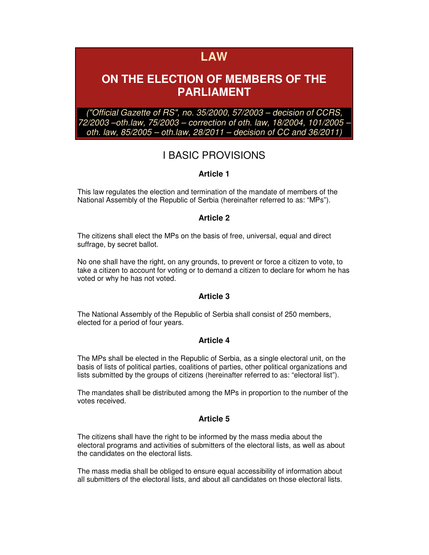# **LAW**

# **ON THE ELECTION OF MEMBERS OF THE PARLIAMENT**

("Official Gazette of RS", no. 35/2000, 57/2003 – decision of CCRS, 72/2003 –oth.law, 75/2003 – correction of oth. law, 18/2004, 101/2005 – oth. law, 85/2005 – oth.law, 28/2011 – decision of CC and 36/2011)

# I BASIC PROVISIONS

## **Article 1**

This law regulates the election and termination of the mandate of members of the National Assembly of the Republic of Serbia (hereinafter referred to as: "MPs").

## **Article 2**

The citizens shall elect the MPs on the basis of free, universal, equal and direct suffrage, by secret ballot.

No one shall have the right, on any grounds, to prevent or force a citizen to vote, to take a citizen to account for voting or to demand a citizen to declare for whom he has voted or why he has not voted.

## **Article 3**

The National Assembly of the Republic of Serbia shall consist of 250 members, elected for a period of four years.

## **Article 4**

The MPs shall be elected in the Republic of Serbia, as a single electoral unit, on the basis of lists of political parties, coalitions of parties, other political organizations and lists submitted by the groups of citizens (hereinafter referred to as: "electoral list").

The mandates shall be distributed among the MPs in proportion to the number of the votes received.

## **Article 5**

The citizens shall have the right to be informed by the mass media about the electoral programs and activities of submitters of the electoral lists, as well as about the candidates on the electoral lists.

The mass media shall be obliged to ensure equal accessibility of information about all submitters of the electoral lists, and about all candidates on those electoral lists.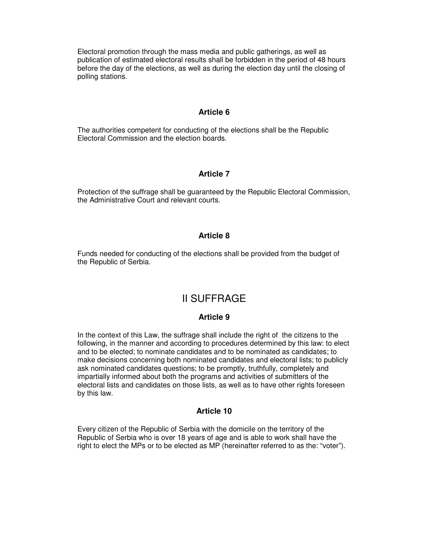Electoral promotion through the mass media and public gatherings, as well as publication of estimated electoral results shall be forbidden in the period of 48 hours before the day of the elections, as well as during the election day until the closing of polling stations.

## **Article 6**

The authorities competent for conducting of the elections shall be the Republic Electoral Commission and the election boards.

#### **Article 7**

Protection of the suffrage shall be guaranteed by the Republic Electoral Commission, the Administrative Court and relevant courts.

#### **Article 8**

Funds needed for conducting of the elections shall be provided from the budget of the Republic of Serbia.

## II SUFFRAGE

#### **Article 9**

In the context of this Law, the suffrage shall include the right of the citizens to the following, in the manner and according to procedures determined by this law: to elect and to be elected; to nominate candidates and to be nominated as candidates; to make decisions concerning both nominated candidates and electoral lists; to publicly ask nominated candidates questions; to be promptly, truthfully, completely and impartially informed about both the programs and activities of submitters of the electoral lists and candidates on those lists, as well as to have other rights foreseen by this law.

#### **Article 10**

Every citizen of the Republic of Serbia with the domicile on the territory of the Republic of Serbia who is over 18 years of age and is able to work shall have the right to elect the MPs or to be elected as MP (hereinafter referred to as the: "voter").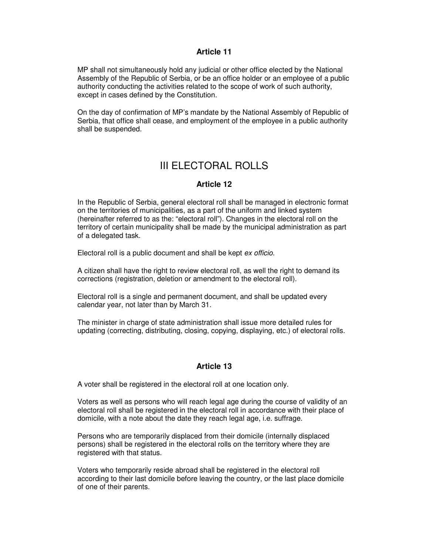MP shall not simultaneously hold any judicial or other office elected by the National Assembly of the Republic of Serbia, or be an office holder or an employee of a public authority conducting the activities related to the scope of work of such authority, except in cases defined by the Constitution.

On the day of confirmation of MP's mandate by the National Assembly of Republic of Serbia, that office shall cease, and employment of the employee in a public authority shall be suspended.

## III ELECTORAL ROLLS

## **Article 12**

In the Republic of Serbia, general electoral roll shall be managed in electronic format on the territories of municipalities, as a part of the uniform and linked system (hereinafter referred to as the: "electoral roll"). Changes in the electoral roll on the territory of certain municipality shall be made by the municipal administration as part of a delegated task.

Electoral roll is a public document and shall be kept ex officio.

A citizen shall have the right to review electoral roll, as well the right to demand its corrections (registration, deletion or amendment to the electoral roll).

Electoral roll is a single and permanent document, and shall be updated every calendar year, not later than by March 31.

The minister in charge of state administration shall issue more detailed rules for updating (correcting, distributing, closing, copying, displaying, etc.) of electoral rolls.

## **Article 13**

A voter shall be registered in the electoral roll at one location only.

Voters as well as persons who will reach legal age during the course of validity of an electoral roll shall be registered in the electoral roll in accordance with their place of domicile, with a note about the date they reach legal age, i.e. suffrage.

Persons who are temporarily displaced from their domicile (internally displaced persons) shall be registered in the electoral rolls on the territory where they are registered with that status.

Voters who temporarily reside abroad shall be registered in the electoral roll according to their last domicile before leaving the country, or the last place domicile of one of their parents.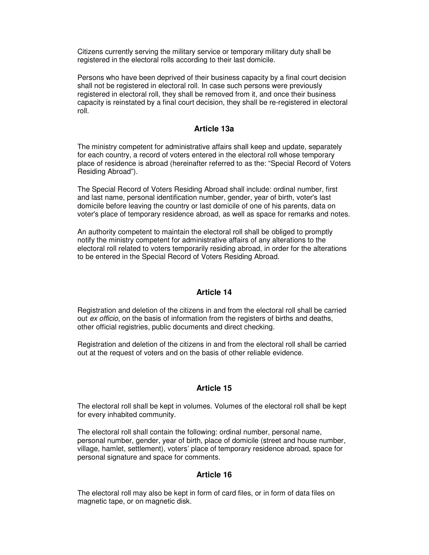Citizens currently serving the military service or temporary military duty shall be registered in the electoral rolls according to their last domicile.

Persons who have been deprived of their business capacity by a final court decision shall not be registered in electoral roll. In case such persons were previously registered in electoral roll, they shall be removed from it, and once their business capacity is reinstated by a final court decision, they shall be re-registered in electoral roll.

## **Article 13a**

The ministry competent for administrative affairs shall keep and update, separately for each country, a record of voters entered in the electoral roll whose temporary place of residence is abroad (hereinafter referred to as the: "Special Record of Voters Residing Abroad").

The Special Record of Voters Residing Abroad shall include: ordinal number, first and last name, personal identification number, gender, year of birth, voter's last domicile before leaving the country or last domicile of one of his parents, data on voter's place of temporary residence abroad, as well as space for remarks and notes.

An authority competent to maintain the electoral roll shall be obliged to promptly notify the ministry competent for administrative affairs of any alterations to the electoral roll related to voters temporarily residing abroad, in order for the alterations to be entered in the Special Record of Voters Residing Abroad.

## **Article 14**

Registration and deletion of the citizens in and from the electoral roll shall be carried out ex officio, on the basis of information from the registers of births and deaths, other official registries, public documents and direct checking.

Registration and deletion of the citizens in and from the electoral roll shall be carried out at the request of voters and on the basis of other reliable evidence.

## **Article 15**

The electoral roll shall be kept in volumes. Volumes of the electoral roll shall be kept for every inhabited community.

The electoral roll shall contain the following: ordinal number, personal name, personal number, gender, year of birth, place of domicile (street and house number, village, hamlet, settlement), voters' place of temporary residence abroad, space for personal signature and space for comments.

## **Article 16**

The electoral roll may also be kept in form of card files, or in form of data files on magnetic tape, or on magnetic disk.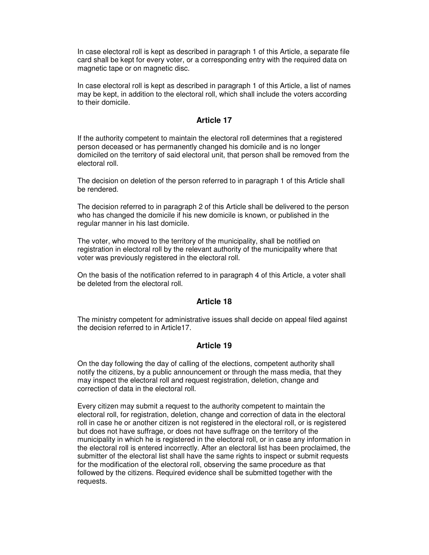In case electoral roll is kept as described in paragraph 1 of this Article, a separate file card shall be kept for every voter, or a corresponding entry with the required data on magnetic tape or on magnetic disc.

In case electoral roll is kept as described in paragraph 1 of this Article, a list of names may be kept, in addition to the electoral roll, which shall include the voters according to their domicile.

## **Article 17**

If the authority competent to maintain the electoral roll determines that a registered person deceased or has permanently changed his domicile and is no longer domiciled on the territory of said electoral unit, that person shall be removed from the electoral roll.

The decision on deletion of the person referred to in paragraph 1 of this Article shall be rendered.

The decision referred to in paragraph 2 of this Article shall be delivered to the person who has changed the domicile if his new domicile is known, or published in the regular manner in his last domicile.

The voter, who moved to the territory of the municipality, shall be notified on registration in electoral roll by the relevant authority of the municipality where that voter was previously registered in the electoral roll.

On the basis of the notification referred to in paragraph 4 of this Article, a voter shall be deleted from the electoral roll.

## **Article 18**

The ministry competent for administrative issues shall decide on appeal filed against the decision referred to in Article17.

#### **Article 19**

On the day following the day of calling of the elections, competent authority shall notify the citizens, by a public announcement or through the mass media, that they may inspect the electoral roll and request registration, deletion, change and correction of data in the electoral roll.

Every citizen may submit a request to the authority competent to maintain the electoral roll, for registration, deletion, change and correction of data in the electoral roll in case he or another citizen is not registered in the electoral roll, or is registered but does not have suffrage, or does not have suffrage on the territory of the municipality in which he is registered in the electoral roll, or in case any information in the electoral roll is entered incorrectly. After an electoral list has been proclaimed, the submitter of the electoral list shall have the same rights to inspect or submit requests for the modification of the electoral roll, observing the same procedure as that followed by the citizens. Required evidence shall be submitted together with the requests.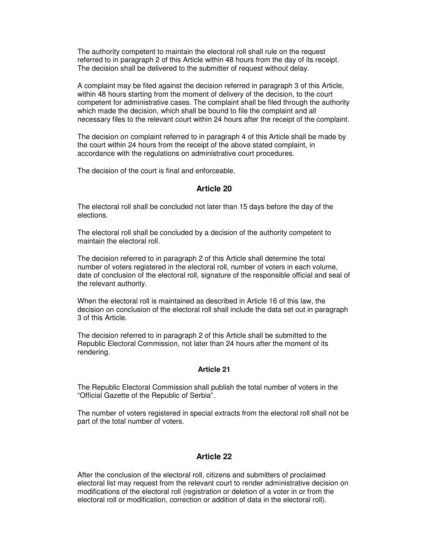The authority competent to maintain the electoral roll shall rule on the request referred to in paragraph 2 of this Article within 48 hours from the day of its receipt. The decision shall be delivered to the submitter of request without delay.

A complaint may be filed against the decision referred in paragraph 3 of this Article, within 48 hours starting from the moment of delivery of the decision, to the court competent for administrative cases. The complaint shall be filed through the authority which made the decision, which shall be bound to file the complaint and all necessary files to the relevant court within 24 hours after the receipt of the complaint.

The decision on complaint referred to in paragraph 4 of this Article shall be made by the court within 24 hours from the receipt of the above stated complaint, in accordance with the regulations on administrative court procedures.

The decision of the court is final and enforceable.

## **Article 20**

The electoral roll shall be concluded not later than 15 days before the day of the elections.

The electoral roll shall be concluded by a decision of the authority competent to maintain the electoral roll.

The decision referred to in paragraph 2 of this Article shall determine the total number of voters registered in the electoral roll, number of voters in each volume, date of conclusion of the electoral roll, signature of the responsible official and seal of the relevant authority.

When the electoral roll is maintained as described in Article 16 of this law, the decision on conclusion of the electoral roll shall include the data set out in paragraph 3 of this Article.

The decision referred to in paragraph 2 of this Article shall be submitted to the Republic Electoral Commission, not later than 24 hours after the moment of its rendering.

#### **Article 21**

The Republic Electoral Commission shall publish the total number of voters in the "Official Gazette of the Republic of Serbia".

The number of voters registered in special extracts from the electoral roll shall not be part of the total number of voters.

#### **Article 22**

After the conclusion of the electoral roll, citizens and submitters of proclaimed electoral list may request from the relevant court to render administrative decision on modifications of the electoral roll (registration or deletion of a voter in or from the electoral roll or modification, correction or addition of data in the electoral roll).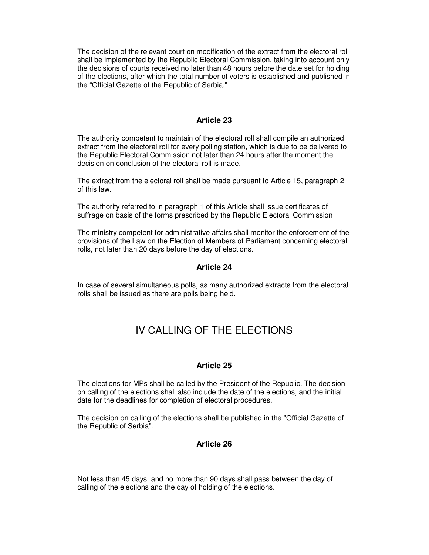The decision of the relevant court on modification of the extract from the electoral roll shall be implemented by the Republic Electoral Commission, taking into account only the decisions of courts received no later than 48 hours before the date set for holding of the elections, after which the total number of voters is established and published in the "Official Gazette of the Republic of Serbia."

## **Article 23**

The authority competent to maintain of the electoral roll shall compile an authorized extract from the electoral roll for every polling station, which is due to be delivered to the Republic Electoral Commission not later than 24 hours after the moment the decision on conclusion of the electoral roll is made.

The extract from the electoral roll shall be made pursuant to Article 15, paragraph 2 of this law.

The authority referred to in paragraph 1 of this Article shall issue certificates of suffrage on basis of the forms prescribed by the Republic Electoral Commission

The ministry competent for administrative affairs shall monitor the enforcement of the provisions of the Law on the Election of Members of Parliament concerning electoral rolls, not later than 20 days before the day of elections.

#### **Article 24**

In case of several simultaneous polls, as many authorized extracts from the electoral rolls shall be issued as there are polls being held.

## IV CALLING OF THE ELECTIONS

#### **Article 25**

The elections for MPs shall be called by the President of the Republic. The decision on calling of the elections shall also include the date of the elections, and the initial date for the deadlines for completion of electoral procedures.

The decision on calling of the elections shall be published in the "Official Gazette of the Republic of Serbia".

## **Article 26**

Not less than 45 days, and no more than 90 days shall pass between the day of calling of the elections and the day of holding of the elections.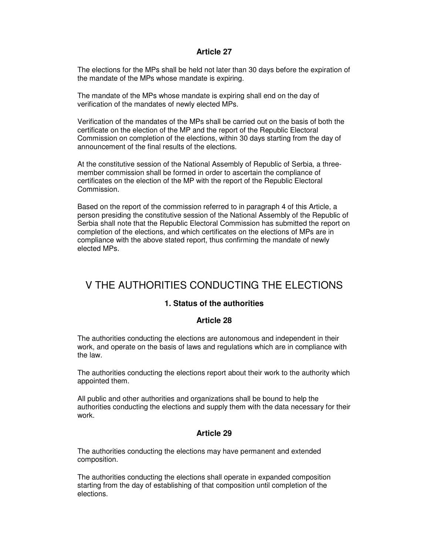The elections for the MPs shall be held not later than 30 days before the expiration of the mandate of the MPs whose mandate is expiring.

The mandate of the MPs whose mandate is expiring shall end on the day of verification of the mandates of newly elected MPs.

Verification of the mandates of the MPs shall be carried out on the basis of both the certificate on the election of the MP and the report of the Republic Electoral Commission on completion of the elections, within 30 days starting from the day of announcement of the final results of the elections.

At the constitutive session of the National Assembly of Republic of Serbia, a threemember commission shall be formed in order to ascertain the compliance of certificates on the election of the MP with the report of the Republic Electoral Commission.

Based on the report of the commission referred to in paragraph 4 of this Article, a person presiding the constitutive session of the National Assembly of the Republic of Serbia shall note that the Republic Electoral Commission has submitted the report on completion of the elections, and which certificates on the elections of MPs are in compliance with the above stated report, thus confirming the mandate of newly elected MPs.

# V THE AUTHORITIES CONDUCTING THE ELECTIONS

## **1. Status of the authorities**

## **Article 28**

The authorities conducting the elections are autonomous and independent in their work, and operate on the basis of laws and regulations which are in compliance with the law.

The authorities conducting the elections report about their work to the authority which appointed them.

All public and other authorities and organizations shall be bound to help the authorities conducting the elections and supply them with the data necessary for their work.

## **Article 29**

The authorities conducting the elections may have permanent and extended composition.

The authorities conducting the elections shall operate in expanded composition starting from the day of establishing of that composition until completion of the elections.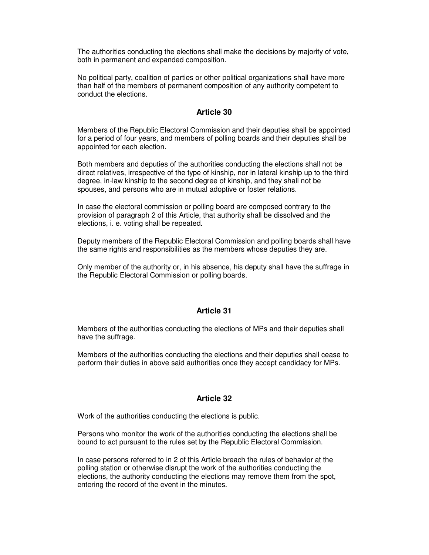The authorities conducting the elections shall make the decisions by majority of vote, both in permanent and expanded composition.

No political party, coalition of parties or other political organizations shall have more than half of the members of permanent composition of any authority competent to conduct the elections.

## **Article 30**

Members of the Republic Electoral Commission and their deputies shall be appointed for a period of four years, and members of polling boards and their deputies shall be appointed for each election.

Both members and deputies of the authorities conducting the elections shall not be direct relatives, irrespective of the type of kinship, nor in lateral kinship up to the third degree, in-law kinship to the second degree of kinship, and they shall not be spouses, and persons who are in mutual adoptive or foster relations.

In case the electoral commission or polling board are composed contrary to the provision of paragraph 2 of this Article, that authority shall be dissolved and the elections, i. e. voting shall be repeated.

Deputy members of the Republic Electoral Commission and polling boards shall have the same rights and responsibilities as the members whose deputies they are.

Only member of the authority or, in his absence, his deputy shall have the suffrage in the Republic Electoral Commission or polling boards.

## **Article 31**

Members of the authorities conducting the elections of MPs and their deputies shall have the suffrage.

Members of the authorities conducting the elections and their deputies shall cease to perform their duties in above said authorities once they accept candidacy for MPs.

## **Article 32**

Work of the authorities conducting the elections is public.

Persons who monitor the work of the authorities conducting the elections shall be bound to act pursuant to the rules set by the Republic Electoral Commission.

In case persons referred to in 2 of this Article breach the rules of behavior at the polling station or otherwise disrupt the work of the authorities conducting the elections, the authority conducting the elections may remove them from the spot, entering the record of the event in the minutes.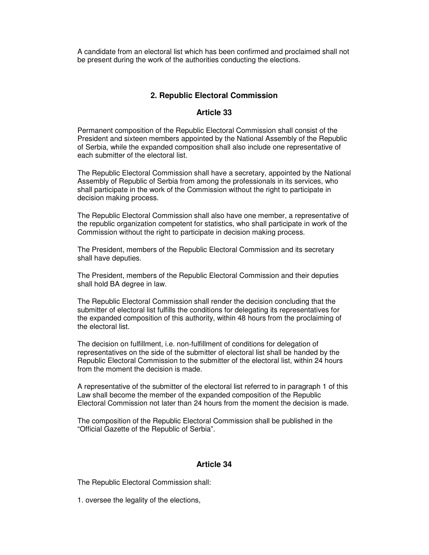A candidate from an electoral list which has been confirmed and proclaimed shall not be present during the work of the authorities conducting the elections.

## **2. Republic Electoral Commission**

## **Article 33**

Permanent composition of the Republic Electoral Commission shall consist of the President and sixteen members appointed by the National Assembly of the Republic of Serbia, while the expanded composition shall also include one representative of each submitter of the electoral list.

The Republic Electoral Commission shall have a secretary, appointed by the National Assembly of Republic of Serbia from among the professionals in its services, who shall participate in the work of the Commission without the right to participate in decision making process.

The Republic Electoral Commission shall also have one member, a representative of the republic organization competent for statistics, who shall participate in work of the Commission without the right to participate in decision making process.

The President, members of the Republic Electoral Commission and its secretary shall have deputies.

The President, members of the Republic Electoral Commission and their deputies shall hold BA degree in law.

The Republic Electoral Commission shall render the decision concluding that the submitter of electoral list fulfills the conditions for delegating its representatives for the expanded composition of this authority, within 48 hours from the proclaiming of the electoral list.

The decision on fulfillment, i.e. non-fulfillment of conditions for delegation of representatives on the side of the submitter of electoral list shall be handed by the Republic Electoral Commission to the submitter of the electoral list, within 24 hours from the moment the decision is made.

A representative of the submitter of the electoral list referred to in paragraph 1 of this Law shall become the member of the expanded composition of the Republic Electoral Commission not later than 24 hours from the moment the decision is made.

The composition of the Republic Electoral Commission shall be published in the "Official Gazette of the Republic of Serbia".

#### **Article 34**

The Republic Electoral Commission shall:

1. oversee the legality of the elections,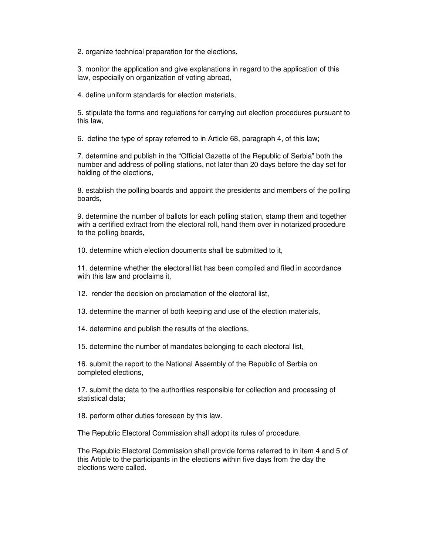2. organize technical preparation for the elections,

3. monitor the application and give explanations in regard to the application of this law, especially on organization of voting abroad,

4. define uniform standards for election materials,

5. stipulate the forms and regulations for carrying out election procedures pursuant to this law,

6. define the type of spray referred to in Article 68, paragraph 4, of this law;

7. determine and publish in the "Official Gazette of the Republic of Serbia" both the number and address of polling stations, not later than 20 days before the day set for holding of the elections,

8. establish the polling boards and appoint the presidents and members of the polling boards,

9. determine the number of ballots for each polling station, stamp them and together with a certified extract from the electoral roll, hand them over in notarized procedure to the polling boards,

10. determine which election documents shall be submitted to it,

11. determine whether the electoral list has been compiled and filed in accordance with this law and proclaims it,

12. render the decision on proclamation of the electoral list,

13. determine the manner of both keeping and use of the election materials,

14. determine and publish the results of the elections,

15. determine the number of mandates belonging to each electoral list,

16. submit the report to the National Assembly of the Republic of Serbia on completed elections,

17. submit the data to the authorities responsible for collection and processing of statistical data;

18. perform other duties foreseen by this law.

The Republic Electoral Commission shall adopt its rules of procedure.

The Republic Electoral Commission shall provide forms referred to in item 4 and 5 of this Article to the participants in the elections within five days from the day the elections were called.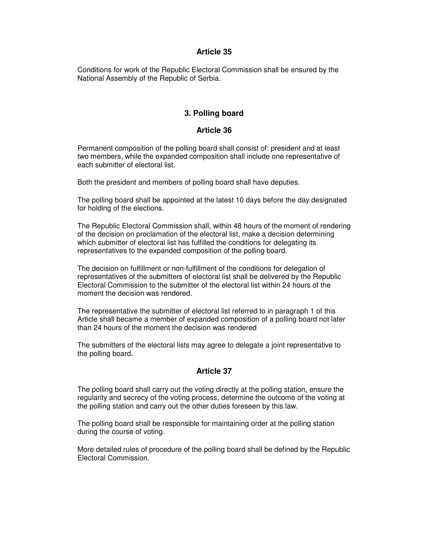Conditions for work of the Republic Electoral Commission shall be ensured by the National Assembly of the Republic of Serbia.

## **3. Polling board**

## **Article 36**

Permanent composition of the polling board shall consist of: president and at least two members, while the expanded composition shall include one representative of each submitter of electoral list.

Both the president and members of polling board shall have deputies.

The polling board shall be appointed at the latest 10 days before the day designated for holding of the elections.

The Republic Electoral Commission shall, within 48 hours of the moment of rendering of the decision on proclamation of the electoral list, make a decision determining which submitter of electoral list has fulfilled the conditions for delegating its representatives to the expanded composition of the polling board.

The decision on fulfillment or non-fulfillment of the conditions for delegation of representatives of the submitters of electoral list shall be delivered by the Republic Electoral Commission to the submitter of the electoral list within 24 hours of the moment the decision was rendered.

The representative the submitter of electoral list referred to in paragraph 1 of this Article shall became a member of expanded composition of a polling board not later than 24 hours of the moment the decision was rendered

The submitters of the electoral lists may agree to delegate a joint representative to the polling board.

## **Article 37**

The polling board shall carry out the voting directly at the polling station, ensure the regularity and secrecy of the voting process, determine the outcome of the voting at the polling station and carry out the other duties foreseen by this law.

The polling board shall be responsible for maintaining order at the polling station during the course of voting.

More detailed rules of procedure of the polling board shall be defined by the Republic Electoral Commission.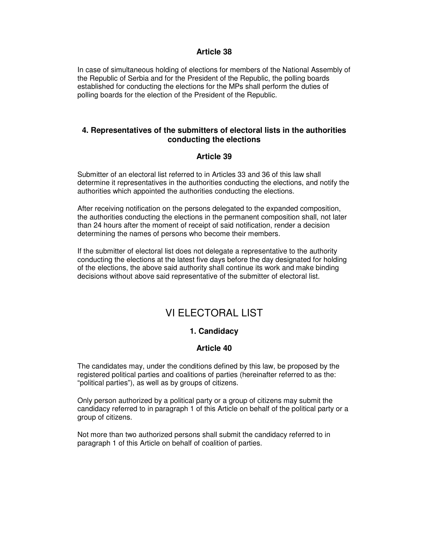In case of simultaneous holding of elections for members of the National Assembly of the Republic of Serbia and for the President of the Republic, the polling boards established for conducting the elections for the MPs shall perform the duties of polling boards for the election of the President of the Republic.

## **4. Representatives of the submitters of electoral lists in the authorities conducting the elections**

## **Article 39**

Submitter of an electoral list referred to in Articles 33 and 36 of this law shall determine it representatives in the authorities conducting the elections, and notify the authorities which appointed the authorities conducting the elections.

After receiving notification on the persons delegated to the expanded composition, the authorities conducting the elections in the permanent composition shall, not later than 24 hours after the moment of receipt of said notification, render a decision determining the names of persons who become their members.

If the submitter of electoral list does not delegate a representative to the authority conducting the elections at the latest five days before the day designated for holding of the elections, the above said authority shall continue its work and make binding decisions without above said representative of the submitter of electoral list.

# VI ELECTORAL LIST

## **1. Candidacy**

## **Article 40**

The candidates may, under the conditions defined by this law, be proposed by the registered political parties and coalitions of parties (hereinafter referred to as the: "political parties"), as well as by groups of citizens.

Only person authorized by a political party or a group of citizens may submit the candidacy referred to in paragraph 1 of this Article on behalf of the political party or a group of citizens.

Not more than two authorized persons shall submit the candidacy referred to in paragraph 1 of this Article on behalf of coalition of parties.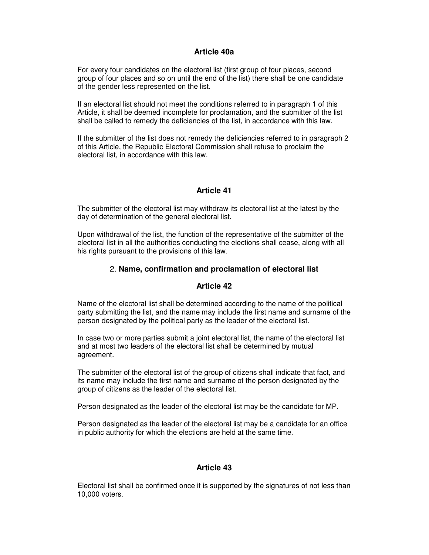## **Article 40a**

For every four candidates on the electoral list (first group of four places, second group of four places and so on until the end of the list) there shall be one candidate of the gender less represented on the list.

If an electoral list should not meet the conditions referred to in paragraph 1 of this Article, it shall be deemed incomplete for proclamation, and the submitter of the list shall be called to remedy the deficiencies of the list, in accordance with this law.

If the submitter of the list does not remedy the deficiencies referred to in paragraph 2 of this Article, the Republic Electoral Commission shall refuse to proclaim the electoral list, in accordance with this law.

## **Article 41**

The submitter of the electoral list may withdraw its electoral list at the latest by the day of determination of the general electoral list.

Upon withdrawal of the list, the function of the representative of the submitter of the electoral list in all the authorities conducting the elections shall cease, along with all his rights pursuant to the provisions of this law.

## 2. **Name, confirmation and proclamation of electoral list**

## **Article 42**

Name of the electoral list shall be determined according to the name of the political party submitting the list, and the name may include the first name and surname of the person designated by the political party as the leader of the electoral list.

In case two or more parties submit a joint electoral list, the name of the electoral list and at most two leaders of the electoral list shall be determined by mutual agreement.

The submitter of the electoral list of the group of citizens shall indicate that fact, and its name may include the first name and surname of the person designated by the group of citizens as the leader of the electoral list.

Person designated as the leader of the electoral list may be the candidate for MP.

Person designated as the leader of the electoral list may be a candidate for an office in public authority for which the elections are held at the same time.

## **Article 43**

Electoral list shall be confirmed once it is supported by the signatures of not less than 10,000 voters.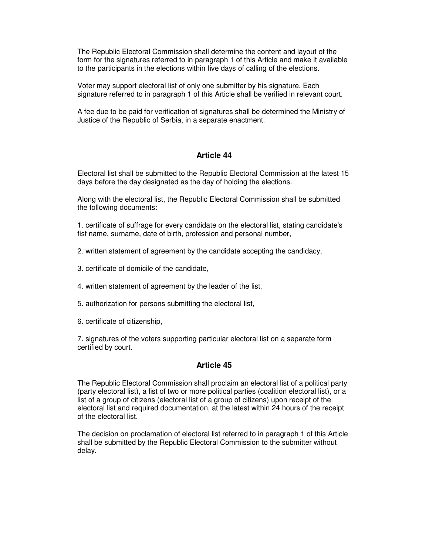The Republic Electoral Commission shall determine the content and layout of the form for the signatures referred to in paragraph 1 of this Article and make it available to the participants in the elections within five days of calling of the elections.

Voter may support electoral list of only one submitter by his signature. Each signature referred to in paragraph 1 of this Article shall be verified in relevant court.

A fee due to be paid for verification of signatures shall be determined the Ministry of Justice of the Republic of Serbia, in a separate enactment.

## **Article 44**

Electoral list shall be submitted to the Republic Electoral Commission at the latest 15 days before the day designated as the day of holding the elections.

Along with the electoral list, the Republic Electoral Commission shall be submitted the following documents:

1. certificate of suffrage for every candidate on the electoral list, stating candidate's fist name, surname, date of birth, profession and personal number,

- 2. written statement of agreement by the candidate accepting the candidacy,
- 3. certificate of domicile of the candidate,
- 4. written statement of agreement by the leader of the list,
- 5. authorization for persons submitting the electoral list,
- 6. certificate of citizenship,

7. signatures of the voters supporting particular electoral list on a separate form certified by court.

#### **Article 45**

The Republic Electoral Commission shall proclaim an electoral list of a political party (party electoral list), a list of two or more political parties (coalition electoral list), or a list of a group of citizens (electoral list of a group of citizens) upon receipt of the electoral list and required documentation, at the latest within 24 hours of the receipt of the electoral list.

The decision on proclamation of electoral list referred to in paragraph 1 of this Article shall be submitted by the Republic Electoral Commission to the submitter without delay.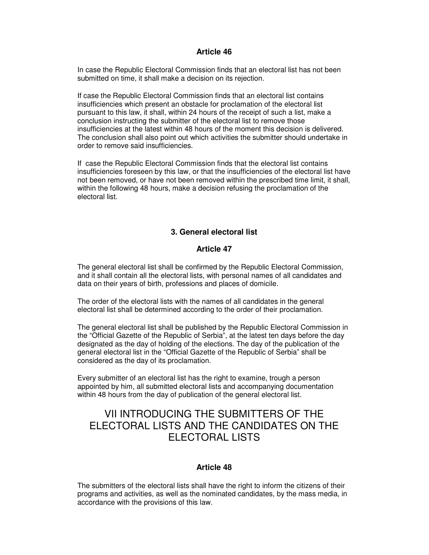In case the Republic Electoral Commission finds that an electoral list has not been submitted on time, it shall make a decision on its rejection.

If case the Republic Electoral Commission finds that an electoral list contains insufficiencies which present an obstacle for proclamation of the electoral list pursuant to this law, it shall, within 24 hours of the receipt of such a list, make a conclusion instructing the submitter of the electoral list to remove those insufficiencies at the latest within 48 hours of the moment this decision is delivered. The conclusion shall also point out which activities the submitter should undertake in order to remove said insufficiencies.

If case the Republic Electoral Commission finds that the electoral list contains insufficiencies foreseen by this law, or that the insufficiencies of the electoral list have not been removed, or have not been removed within the prescribed time limit, it shall, within the following 48 hours, make a decision refusing the proclamation of the electoral list.

## **3. General electoral list**

## **Article 47**

The general electoral list shall be confirmed by the Republic Electoral Commission, and it shall contain all the electoral lists, with personal names of all candidates and data on their years of birth, professions and places of domicile.

The order of the electoral lists with the names of all candidates in the general electoral list shall be determined according to the order of their proclamation.

The general electoral list shall be published by the Republic Electoral Commission in the "Official Gazette of the Republic of Serbia", at the latest ten days before the day designated as the day of holding of the elections. The day of the publication of the general electoral list in the "Official Gazette of the Republic of Serbia" shall be considered as the day of its proclamation.

Every submitter of an electoral list has the right to examine, trough a person appointed by him, all submitted electoral lists and accompanying documentation within 48 hours from the day of publication of the general electoral list.

# VII INTRODUCING THE SUBMITTERS OF THE ELECTORAL LISTS AND THE CANDIDATES ON THE ELECTORAL LISTS

## **Article 48**

The submitters of the electoral lists shall have the right to inform the citizens of their programs and activities, as well as the nominated candidates, by the mass media, in accordance with the provisions of this law.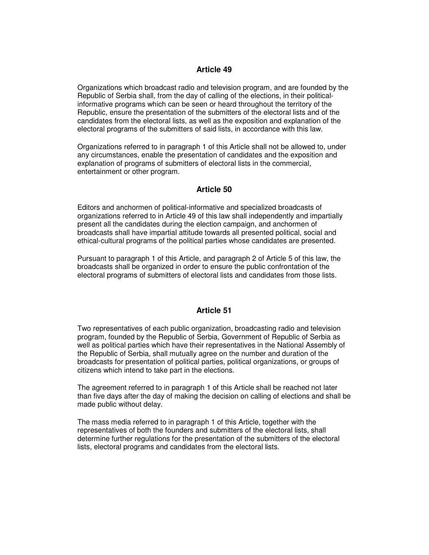Organizations which broadcast radio and television program, and are founded by the Republic of Serbia shall, from the day of calling of the elections, in their politicalinformative programs which can be seen or heard throughout the territory of the Republic, ensure the presentation of the submitters of the electoral lists and of the candidates from the electoral lists, as well as the exposition and explanation of the electoral programs of the submitters of said lists, in accordance with this law.

Organizations referred to in paragraph 1 of this Article shall not be allowed to, under any circumstances, enable the presentation of candidates and the exposition and explanation of programs of submitters of electoral lists in the commercial, entertainment or other program.

## **Article 50**

Editors and anchormen of political-informative and specialized broadcasts of organizations referred to in Article 49 of this law shall independently and impartially present all the candidates during the election campaign, and anchormen of broadcasts shall have impartial attitude towards all presented political, social and ethical-cultural programs of the political parties whose candidates are presented.

Pursuant to paragraph 1 of this Article, and paragraph 2 of Article 5 of this law, the broadcasts shall be organized in order to ensure the public confrontation of the electoral programs of submitters of electoral lists and candidates from those lists.

## **Article 51**

Two representatives of each public organization, broadcasting radio and television program, founded by the Republic of Serbia, Government of Republic of Serbia as well as political parties which have their representatives in the National Assembly of the Republic of Serbia, shall mutually agree on the number and duration of the broadcasts for presentation of political parties, political organizations, or groups of citizens which intend to take part in the elections.

The agreement referred to in paragraph 1 of this Article shall be reached not later than five days after the day of making the decision on calling of elections and shall be made public without delay.

The mass media referred to in paragraph 1 of this Article, together with the representatives of both the founders and submitters of the electoral lists, shall determine further regulations for the presentation of the submitters of the electoral lists, electoral programs and candidates from the electoral lists.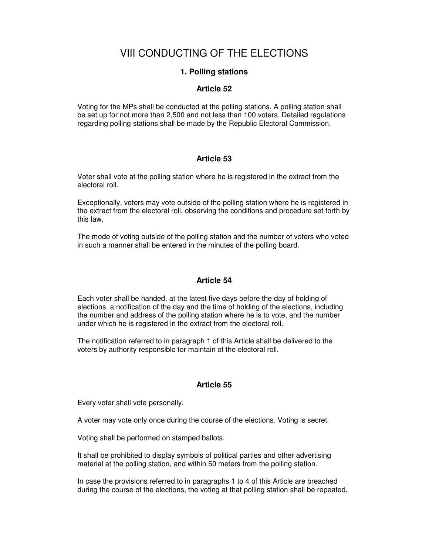# VIII CONDUCTING OF THE ELECTIONS

## **1. Polling stations**

## **Article 52**

Voting for the MPs shall be conducted at the polling stations. A polling station shall be set up for not more than 2,500 and not less than 100 voters. Detailed regulations regarding polling stations shall be made by the Republic Electoral Commission.

## **Article 53**

Voter shall vote at the polling station where he is registered in the extract from the electoral roll.

Exceptionally, voters may vote outside of the polling station where he is registered in the extract from the electoral roll, observing the conditions and procedure set forth by this law.

The mode of voting outside of the polling station and the number of voters who voted in such a manner shall be entered in the minutes of the polling board.

## **Article 54**

Each voter shall be handed, at the latest five days before the day of holding of elections, a notification of the day and the time of holding of the elections, including the number and address of the polling station where he is to vote, and the number under which he is registered in the extract from the electoral roll.

The notification referred to in paragraph 1 of this Article shall be delivered to the voters by authority responsible for maintain of the electoral roll.

## **Article 55**

Every voter shall vote personally.

A voter may vote only once during the course of the elections. Voting is secret.

Voting shall be performed on stamped ballots.

It shall be prohibited to display symbols of political parties and other advertising material at the polling station, and within 50 meters from the polling station.

In case the provisions referred to in paragraphs 1 to 4 of this Article are breached during the course of the elections, the voting at that polling station shall be repeated.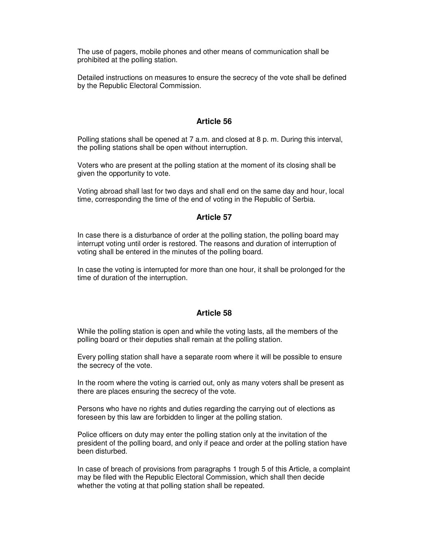The use of pagers, mobile phones and other means of communication shall be prohibited at the polling station.

Detailed instructions on measures to ensure the secrecy of the vote shall be defined by the Republic Electoral Commission.

#### **Article 56**

Polling stations shall be opened at 7 a.m. and closed at 8 p. m. During this interval, the polling stations shall be open without interruption.

Voters who are present at the polling station at the moment of its closing shall be given the opportunity to vote.

Voting abroad shall last for two days and shall end on the same day and hour, local time, corresponding the time of the end of voting in the Republic of Serbia.

#### **Article 57**

In case there is a disturbance of order at the polling station, the polling board may interrupt voting until order is restored. The reasons and duration of interruption of voting shall be entered in the minutes of the polling board.

In case the voting is interrupted for more than one hour, it shall be prolonged for the time of duration of the interruption.

#### **Article 58**

While the polling station is open and while the voting lasts, all the members of the polling board or their deputies shall remain at the polling station.

Every polling station shall have a separate room where it will be possible to ensure the secrecy of the vote.

In the room where the voting is carried out, only as many voters shall be present as there are places ensuring the secrecy of the vote.

Persons who have no rights and duties regarding the carrying out of elections as foreseen by this law are forbidden to linger at the polling station.

Police officers on duty may enter the polling station only at the invitation of the president of the polling board, and only if peace and order at the polling station have been disturbed.

In case of breach of provisions from paragraphs 1 trough 5 of this Article, a complaint may be filed with the Republic Electoral Commission, which shall then decide whether the voting at that polling station shall be repeated.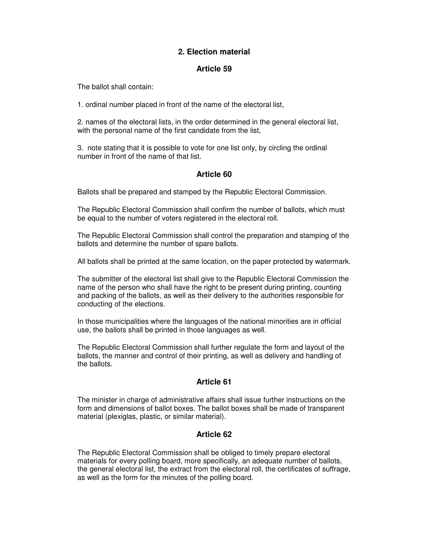## **2. Election material**

## **Article 59**

The ballot shall contain:

1. ordinal number placed in front of the name of the electoral list,

2. names of the electoral lists, in the order determined in the general electoral list, with the personal name of the first candidate from the list,

3. note stating that it is possible to vote for one list only, by circling the ordinal number in front of the name of that list.

## **Article 60**

Ballots shall be prepared and stamped by the Republic Electoral Commission.

The Republic Electoral Commission shall confirm the number of ballots, which must be equal to the number of voters registered in the electoral roll.

The Republic Electoral Commission shall control the preparation and stamping of the ballots and determine the number of spare ballots.

All ballots shall be printed at the same location, on the paper protected by watermark.

The submitter of the electoral list shall give to the Republic Electoral Commission the name of the person who shall have the right to be present during printing, counting and packing of the ballots, as well as their delivery to the authorities responsible for conducting of the elections.

In those municipalities where the languages of the national minorities are in official use, the ballots shall be printed in those languages as well.

The Republic Electoral Commission shall further regulate the form and layout of the ballots, the manner and control of their printing, as well as delivery and handling of the ballots.

## **Article 61**

The minister in charge of administrative affairs shall issue further instructions on the form and dimensions of ballot boxes. The ballot boxes shall be made of transparent material (plexiglas, plastic, or similar material).

## **Article 62**

The Republic Electoral Commission shall be obliged to timely prepare electoral materials for every polling board, more specifically, an adequate number of ballots, the general electoral list, the extract from the electoral roll, the certificates of suffrage, as well as the form for the minutes of the polling board.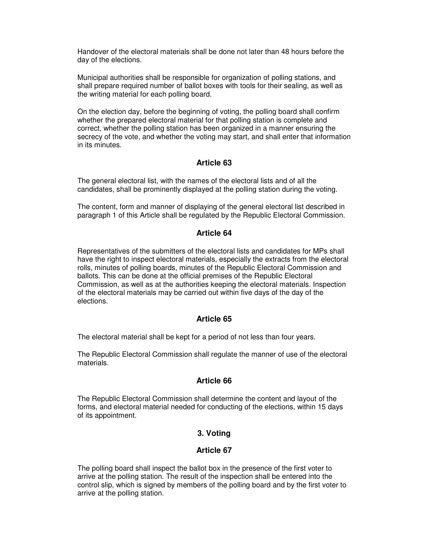Handover of the electoral materials shall be done not later than 48 hours before the day of the elections.

Municipal authorities shall be responsible for organization of polling stations, and shall prepare required number of ballot boxes with tools for their sealing, as well as the writing material for each polling board.

On the election day, before the beginning of voting, the polling board shall confirm whether the prepared electoral material for that polling station is complete and correct, whether the polling station has been organized in a manner ensuring the secrecy of the vote, and whether the voting may start, and shall enter that information in its minutes.

## **Article 63**

The general electoral list, with the names of the electoral lists and of all the candidates, shall be prominently displayed at the polling station during the voting.

The content, form and manner of displaying of the general electoral list described in paragraph 1 of this Article shall be regulated by the Republic Electoral Commission.

## **Article 64**

Representatives of the submitters of the electoral lists and candidates for MPs shall have the right to inspect electoral materials, especially the extracts from the electoral rolls, minutes of polling boards, minutes of the Republic Electoral Commission and ballots. This can be done at the official premises of the Republic Electoral Commission, as well as at the authorities keeping the electoral materials. Inspection of the electoral materials may be carried out within five days of the day of the elections.

## **Article 65**

The electoral material shall be kept for a period of not less than four years.

The Republic Electoral Commission shall regulate the manner of use of the electoral materials.

## **Article 66**

The Republic Electoral Commission shall determine the content and layout of the forms, and electoral material needed for conducting of the elections, within 15 days of its appointment.

## **3. Voting**

## **Article 67**

The polling board shall inspect the ballot box in the presence of the first voter to arrive at the polling station. The result of the inspection shall be entered into the control slip, which is signed by members of the polling board and by the first voter to arrive at the polling station.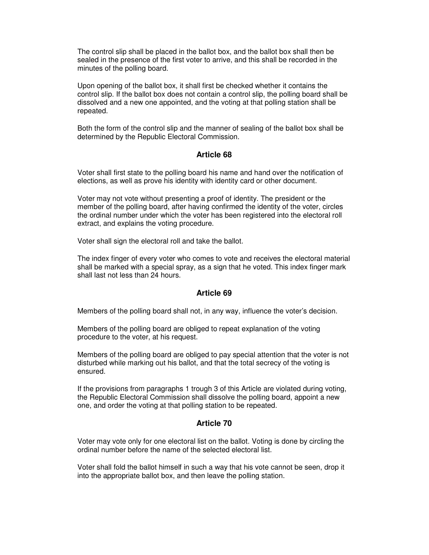The control slip shall be placed in the ballot box, and the ballot box shall then be sealed in the presence of the first voter to arrive, and this shall be recorded in the minutes of the polling board.

Upon opening of the ballot box, it shall first be checked whether it contains the control slip. If the ballot box does not contain a control slip, the polling board shall be dissolved and a new one appointed, and the voting at that polling station shall be repeated.

Both the form of the control slip and the manner of sealing of the ballot box shall be determined by the Republic Electoral Commission.

## **Article 68**

Voter shall first state to the polling board his name and hand over the notification of elections, as well as prove his identity with identity card or other document.

Voter may not vote without presenting a proof of identity. The president or the member of the polling board, after having confirmed the identity of the voter, circles the ordinal number under which the voter has been registered into the electoral roll extract, and explains the voting procedure.

Voter shall sign the electoral roll and take the ballot.

The index finger of every voter who comes to vote and receives the electoral material shall be marked with a special spray, as a sign that he voted. This index finger mark shall last not less than 24 hours.

#### **Article 69**

Members of the polling board shall not, in any way, influence the voter's decision.

Members of the polling board are obliged to repeat explanation of the voting procedure to the voter, at his request.

Members of the polling board are obliged to pay special attention that the voter is not disturbed while marking out his ballot, and that the total secrecy of the voting is ensured.

If the provisions from paragraphs 1 trough 3 of this Article are violated during voting, the Republic Electoral Commission shall dissolve the polling board, appoint a new one, and order the voting at that polling station to be repeated.

## **Article 70**

Voter may vote only for one electoral list on the ballot. Voting is done by circling the ordinal number before the name of the selected electoral list.

Voter shall fold the ballot himself in such a way that his vote cannot be seen, drop it into the appropriate ballot box, and then leave the polling station.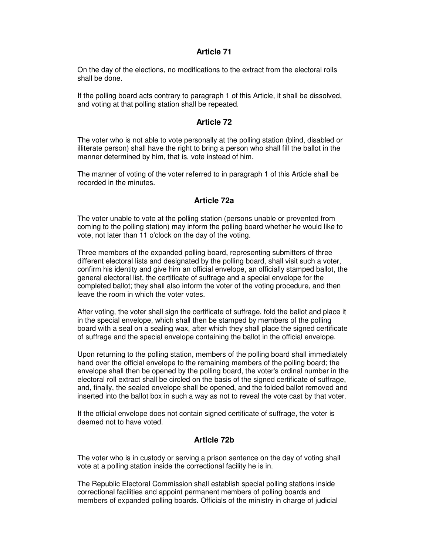On the day of the elections, no modifications to the extract from the electoral rolls shall be done.

If the polling board acts contrary to paragraph 1 of this Article, it shall be dissolved, and voting at that polling station shall be repeated.

## **Article 72**

The voter who is not able to vote personally at the polling station (blind, disabled or illiterate person) shall have the right to bring a person who shall fill the ballot in the manner determined by him, that is, vote instead of him.

The manner of voting of the voter referred to in paragraph 1 of this Article shall be recorded in the minutes.

## **Article 72a**

The voter unable to vote at the polling station (persons unable or prevented from coming to the polling station) may inform the polling board whether he would like to vote, not later than 11 o'clock on the day of the voting.

Three members of the expanded polling board, representing submitters of three different electoral lists and designated by the polling board, shall visit such a voter, confirm his identity and give him an official envelope, an officially stamped ballot, the general electoral list, the certificate of suffrage and a special envelope for the completed ballot; they shall also inform the voter of the voting procedure, and then leave the room in which the voter votes.

After voting, the voter shall sign the certificate of suffrage, fold the ballot and place it in the special envelope, which shall then be stamped by members of the polling board with a seal on a sealing wax, after which they shall place the signed certificate of suffrage and the special envelope containing the ballot in the official envelope.

Upon returning to the polling station, members of the polling board shall immediately hand over the official envelope to the remaining members of the polling board; the envelope shall then be opened by the polling board, the voter's ordinal number in the electoral roll extract shall be circled on the basis of the signed certificate of suffrage, and, finally, the sealed envelope shall be opened, and the folded ballot removed and inserted into the ballot box in such a way as not to reveal the vote cast by that voter.

If the official envelope does not contain signed certificate of suffrage, the voter is deemed not to have voted.

## **Article 72b**

The voter who is in custody or serving a prison sentence on the day of voting shall vote at a polling station inside the correctional facility he is in.

The Republic Electoral Commission shall establish special polling stations inside correctional facilities and appoint permanent members of polling boards and members of expanded polling boards. Officials of the ministry in charge of judicial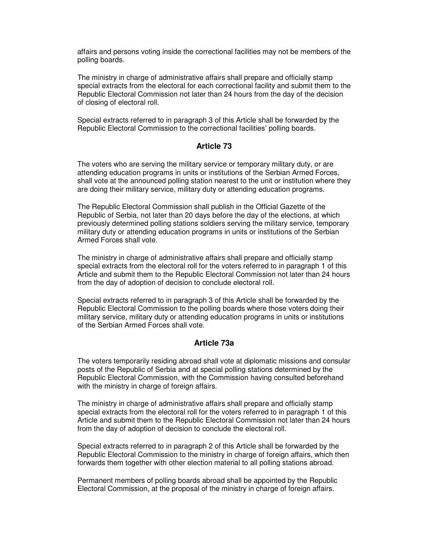affairs and persons voting inside the correctional facilities may not be members of the polling boards.

The ministry in charge of administrative affairs shall prepare and officially stamp special extracts from the electoral for each correctional facility and submit them to the Republic Electoral Commission not later than 24 hours from the day of the decision of closing of electoral roll.

Special extracts referred to in paragraph 3 of this Article shall be forwarded by the Republic Electoral Commission to the correctional facilities' polling boards.

#### **Article 73**

The voters who are serving the military service or temporary military duty, or are attending education programs in units or institutions of the Serbian Armed Forces, shall vote at the announced polling station nearest to the unit or institution where they are doing their military service, military duty or attending education programs.

The Republic Electoral Commission shall publish in the Official Gazette of the Republic of Serbia, not later than 20 days before the day of the elections, at which previously determined polling stations soldiers serving the military service, temporary military duty or attending education programs in units or institutions of the Serbian Armed Forces shall vote.

The ministry in charge of administrative affairs shall prepare and officially stamp special extracts from the electoral roll for the voters referred to in paragraph 1 of this Article and submit them to the Republic Electoral Commission not later than 24 hours from the day of adoption of decision to conclude electoral roll.

Special extracts referred to in paragraph 3 of this Article shall be forwarded by the Republic Electoral Commission to the polling boards where those voters doing their military service, military duty or attending education programs in units or institutions of the Serbian Armed Forces shall vote.

## **Article 73a**

The voters temporarily residing abroad shall vote at diplomatic missions and consular posts of the Republic of Serbia and at special polling stations determined by the Republic Electoral Commission, with the Commission having consulted beforehand with the ministry in charge of foreign affairs.

The ministry in charge of administrative affairs shall prepare and officially stamp special extracts from the electoral roll for the voters referred to in paragraph 1 of this Article and submit them to the Republic Electoral Commission not later than 24 hours from the day of adoption of decision to conclude the electoral roll.

Special extracts referred to in paragraph 2 of this Article shall be forwarded by the Republic Electoral Commission to the ministry in charge of foreign affairs, which then forwards them together with other election material to all polling stations abroad.

Permanent members of polling boards abroad shall be appointed by the Republic Electoral Commission, at the proposal of the ministry in charge of foreign affairs.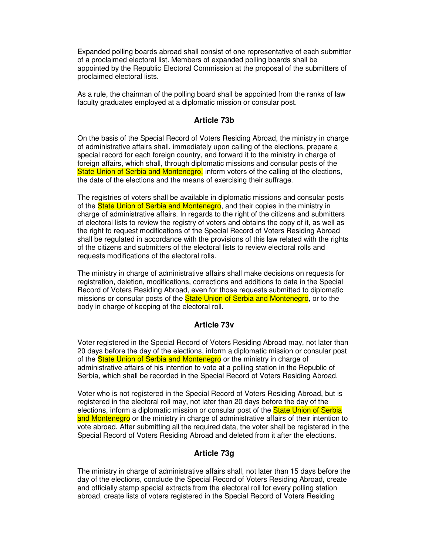Expanded polling boards abroad shall consist of one representative of each submitter of a proclaimed electoral list. Members of expanded polling boards shall be appointed by the Republic Electoral Commission at the proposal of the submitters of proclaimed electoral lists.

As a rule, the chairman of the polling board shall be appointed from the ranks of law faculty graduates employed at a diplomatic mission or consular post.

#### **Article 73b**

On the basis of the Special Record of Voters Residing Abroad, the ministry in charge of administrative affairs shall, immediately upon calling of the elections, prepare a special record for each foreign country, and forward it to the ministry in charge of foreign affairs, which shall, through diplomatic missions and consular posts of the State Union of Serbia and Montenegro, inform voters of the calling of the elections, the date of the elections and the means of exercising their suffrage.

The registries of voters shall be available in diplomatic missions and consular posts of the **State Union of Serbia and Montenegro**, and their copies in the ministry in charge of administrative affairs. In regards to the right of the citizens and submitters of electoral lists to review the registry of voters and obtains the copy of it, as well as the right to request modifications of the Special Record of Voters Residing Abroad shall be regulated in accordance with the provisions of this law related with the rights of the citizens and submitters of the electoral lists to review electoral rolls and requests modifications of the electoral rolls.

The ministry in charge of administrative affairs shall make decisions on requests for registration, deletion, modifications, corrections and additions to data in the Special Record of Voters Residing Abroad, even for those requests submitted to diplomatic missions or consular posts of the **State Union of Serbia and Montenegro**, or to the body in charge of keeping of the electoral roll.

#### **Article 73v**

Voter registered in the Special Record of Voters Residing Abroad may, not later than 20 days before the day of the elections, inform a diplomatic mission or consular post of the **State Union of Serbia and Montenegro** or the ministry in charge of administrative affairs of his intention to vote at a polling station in the Republic of Serbia, which shall be recorded in the Special Record of Voters Residing Abroad.

Voter who is not registered in the Special Record of Voters Residing Abroad, but is registered in the electoral roll may, not later than 20 days before the day of the elections, inform a diplomatic mission or consular post of the **State Union of Serbia** and Montenegro or the ministry in charge of administrative affairs of their intention to vote abroad. After submitting all the required data, the voter shall be registered in the Special Record of Voters Residing Abroad and deleted from it after the elections.

#### **Article 73g**

The ministry in charge of administrative affairs shall, not later than 15 days before the day of the elections, conclude the Special Record of Voters Residing Abroad, create and officially stamp special extracts from the electoral roll for every polling station abroad, create lists of voters registered in the Special Record of Voters Residing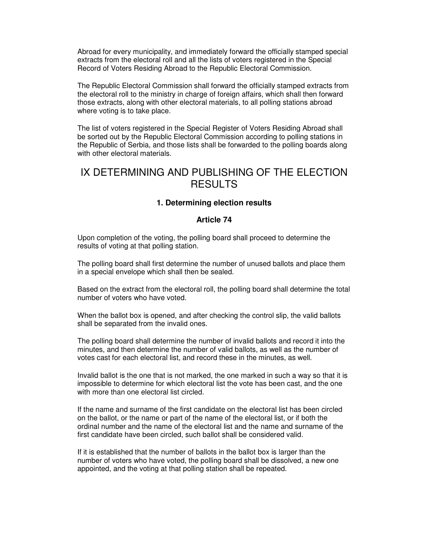Abroad for every municipality, and immediately forward the officially stamped special extracts from the electoral roll and all the lists of voters registered in the Special Record of Voters Residing Abroad to the Republic Electoral Commission.

The Republic Electoral Commission shall forward the officially stamped extracts from the electoral roll to the ministry in charge of foreign affairs, which shall then forward those extracts, along with other electoral materials, to all polling stations abroad where voting is to take place.

The list of voters registered in the Special Register of Voters Residing Abroad shall be sorted out by the Republic Electoral Commission according to polling stations in the Republic of Serbia, and those lists shall be forwarded to the polling boards along with other electoral materials.

## IX DETERMINING AND PUBLISHING OF THE ELECTION **RESULTS**

## **1. Determining election results**

## **Article 74**

Upon completion of the voting, the polling board shall proceed to determine the results of voting at that polling station.

The polling board shall first determine the number of unused ballots and place them in a special envelope which shall then be sealed.

Based on the extract from the electoral roll, the polling board shall determine the total number of voters who have voted.

When the ballot box is opened, and after checking the control slip, the valid ballots shall be separated from the invalid ones.

The polling board shall determine the number of invalid ballots and record it into the minutes, and then determine the number of valid ballots, as well as the number of votes cast for each electoral list, and record these in the minutes, as well.

Invalid ballot is the one that is not marked, the one marked in such a way so that it is impossible to determine for which electoral list the vote has been cast, and the one with more than one electoral list circled.

If the name and surname of the first candidate on the electoral list has been circled on the ballot, or the name or part of the name of the electoral list, or if both the ordinal number and the name of the electoral list and the name and surname of the first candidate have been circled, such ballot shall be considered valid.

If it is established that the number of ballots in the ballot box is larger than the number of voters who have voted, the polling board shall be dissolved, a new one appointed, and the voting at that polling station shall be repeated.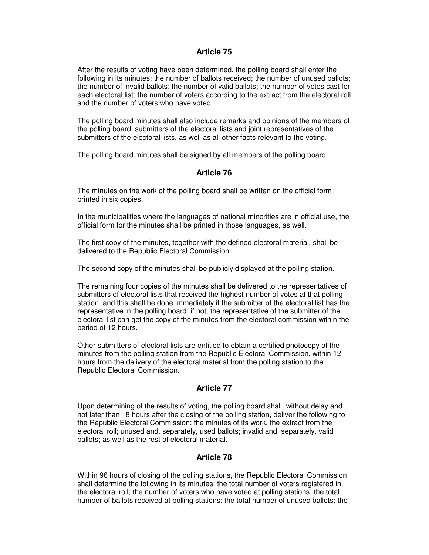After the results of voting have been determined, the polling board shall enter the following in its minutes: the number of ballots received; the number of unused ballots; the number of invalid ballots; the number of valid ballots; the number of votes cast for each electoral list; the number of voters according to the extract from the electoral roll and the number of voters who have voted.

The polling board minutes shall also include remarks and opinions of the members of the polling board, submitters of the electoral lists and joint representatives of the submitters of the electoral lists, as well as all other facts relevant to the voting.

The polling board minutes shall be signed by all members of the polling board.

## **Article 76**

The minutes on the work of the polling board shall be written on the official form printed in six copies.

In the municipalities where the languages of national minorities are in official use, the official form for the minutes shall be printed in those languages, as well.

The first copy of the minutes, together with the defined electoral material, shall be delivered to the Republic Electoral Commission.

The second copy of the minutes shall be publicly displayed at the polling station.

The remaining four copies of the minutes shall be delivered to the representatives of submitters of electoral lists that received the highest number of votes at that polling station, and this shall be done immediately if the submitter of the electoral list has the representative in the polling board; if not, the representative of the submitter of the electoral list can get the copy of the minutes from the electoral commission within the period of 12 hours.

Other submitters of electoral lists are entitled to obtain a certified photocopy of the minutes from the polling station from the Republic Electoral Commission, within 12 hours from the delivery of the electoral material from the polling station to the Republic Electoral Commission.

## **Article 77**

Upon determining of the results of voting, the polling board shall, without delay and not later than 18 hours after the closing of the polling station, deliver the following to the Republic Electoral Commission: the minutes of its work, the extract from the electoral roll; unused and, separately, used ballots; invalid and, separately, valid ballots; as well as the rest of electoral material.

## **Article 78**

Within 96 hours of closing of the polling stations, the Republic Electoral Commission shall determine the following in its minutes: the total number of voters registered in the electoral roll; the number of voters who have voted at polling stations; the total number of ballots received at polling stations; the total number of unused ballots; the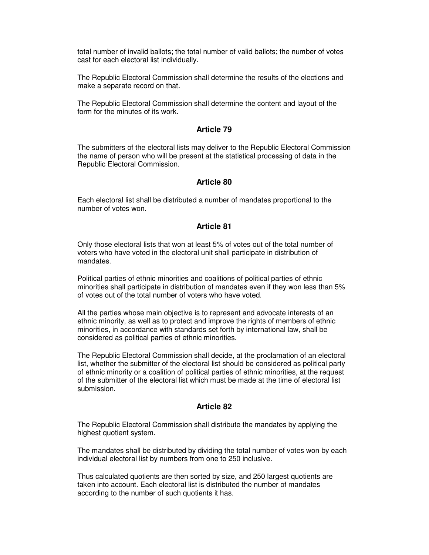total number of invalid ballots; the total number of valid ballots; the number of votes cast for each electoral list individually.

The Republic Electoral Commission shall determine the results of the elections and make a separate record on that.

The Republic Electoral Commission shall determine the content and layout of the form for the minutes of its work.

#### **Article 79**

The submitters of the electoral lists may deliver to the Republic Electoral Commission the name of person who will be present at the statistical processing of data in the Republic Electoral Commission.

## **Article 80**

Each electoral list shall be distributed a number of mandates proportional to the number of votes won.

#### **Article 81**

Only those electoral lists that won at least 5% of votes out of the total number of voters who have voted in the electoral unit shall participate in distribution of mandates.

Political parties of ethnic minorities and coalitions of political parties of ethnic minorities shall participate in distribution of mandates even if they won less than 5% of votes out of the total number of voters who have voted.

All the parties whose main objective is to represent and advocate interests of an ethnic minority, as well as to protect and improve the rights of members of ethnic minorities, in accordance with standards set forth by international law, shall be considered as political parties of ethnic minorities.

The Republic Electoral Commission shall decide, at the proclamation of an electoral list, whether the submitter of the electoral list should be considered as political party of ethnic minority or a coalition of political parties of ethnic minorities, at the request of the submitter of the electoral list which must be made at the time of electoral list submission.

## **Article 82**

The Republic Electoral Commission shall distribute the mandates by applying the highest quotient system.

The mandates shall be distributed by dividing the total number of votes won by each individual electoral list by numbers from one to 250 inclusive.

Thus calculated quotients are then sorted by size, and 250 largest quotients are taken into account. Each electoral list is distributed the number of mandates according to the number of such quotients it has.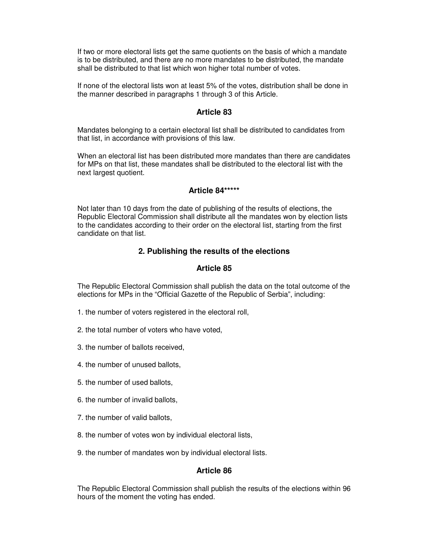If two or more electoral lists get the same quotients on the basis of which a mandate is to be distributed, and there are no more mandates to be distributed, the mandate shall be distributed to that list which won higher total number of votes.

If none of the electoral lists won at least 5% of the votes, distribution shall be done in the manner described in paragraphs 1 through 3 of this Article.

## **Article 83**

Mandates belonging to a certain electoral list shall be distributed to candidates from that list, in accordance with provisions of this law.

When an electoral list has been distributed more mandates than there are candidates for MPs on that list, these mandates shall be distributed to the electoral list with the next largest quotient.

#### **Article 84\*\*\*\*\***

Not later than 10 days from the date of publishing of the results of elections, the Republic Electoral Commission shall distribute all the mandates won by election lists to the candidates according to their order on the electoral list, starting from the first candidate on that list.

## **2. Publishing the results of the elections**

#### **Article 85**

The Republic Electoral Commission shall publish the data on the total outcome of the elections for MPs in the "Official Gazette of the Republic of Serbia", including:

- 1. the number of voters registered in the electoral roll,
- 2. the total number of voters who have voted,
- 3. the number of ballots received,
- 4. the number of unused ballots,
- 5. the number of used ballots,
- 6. the number of invalid ballots,
- 7. the number of valid ballots,
- 8. the number of votes won by individual electoral lists,
- 9. the number of mandates won by individual electoral lists.

#### **Article 86**

The Republic Electoral Commission shall publish the results of the elections within 96 hours of the moment the voting has ended.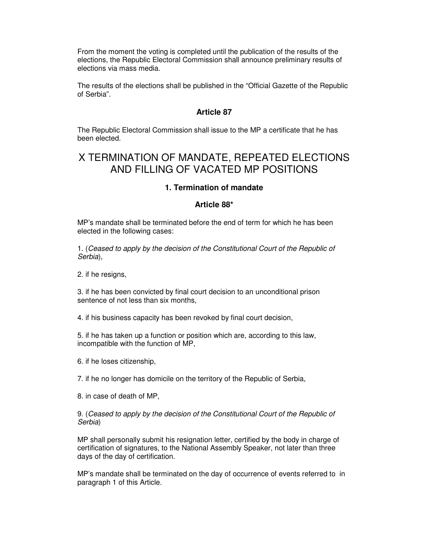From the moment the voting is completed until the publication of the results of the elections, the Republic Electoral Commission shall announce preliminary results of elections via mass media.

The results of the elections shall be published in the "Official Gazette of the Republic of Serbia".

## **Article 87**

The Republic Electoral Commission shall issue to the MP a certificate that he has been elected.

# X TERMINATION OF MANDATE, REPEATED ELECTIONS AND FILLING OF VACATED MP POSITIONS

## **1. Termination of mandate**

#### **Article 88\***

MP's mandate shall be terminated before the end of term for which he has been elected in the following cases:

1. (Ceased to apply by the decision of the Constitutional Court of the Republic of Serbia),

2. if he resigns,

3. if he has been convicted by final court decision to an unconditional prison sentence of not less than six months.

4. if his business capacity has been revoked by final court decision,

5. if he has taken up a function or position which are, according to this law, incompatible with the function of MP,

6. if he loses citizenship,

7. if he no longer has domicile on the territory of the Republic of Serbia,

8. in case of death of MP,

9. (Ceased to apply by the decision of the Constitutional Court of the Republic of Serbia)

MP shall personally submit his resignation letter, certified by the body in charge of certification of signatures, to the National Assembly Speaker, not later than three days of the day of certification.

MP's mandate shall be terminated on the day of occurrence of events referred to in paragraph 1 of this Article.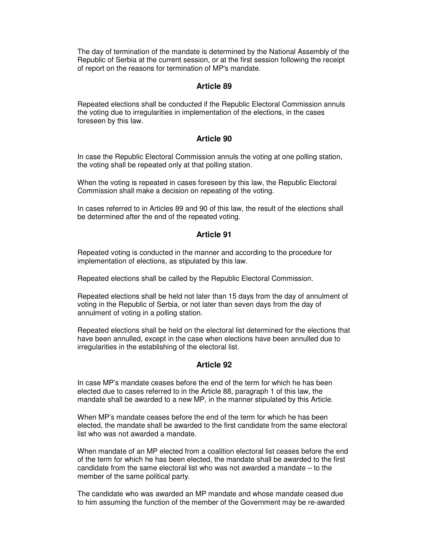The day of termination of the mandate is determined by the National Assembly of the Republic of Serbia at the current session, or at the first session following the receipt of report on the reasons for termination of MP's mandate.

## **Article 89**

Repeated elections shall be conducted if the Republic Electoral Commission annuls the voting due to irregularities in implementation of the elections, in the cases foreseen by this law.

## **Article 90**

In case the Republic Electoral Commission annuls the voting at one polling station, the voting shall be repeated only at that polling station.

When the voting is repeated in cases foreseen by this law, the Republic Electoral Commission shall make a decision on repeating of the voting.

In cases referred to in Articles 89 and 90 of this law, the result of the elections shall be determined after the end of the repeated voting.

#### **Article 91**

Repeated voting is conducted in the manner and according to the procedure for implementation of elections, as stipulated by this law.

Repeated elections shall be called by the Republic Electoral Commission.

Repeated elections shall be held not later than 15 days from the day of annulment of voting in the Republic of Serbia, or not later than seven days from the day of annulment of voting in a polling station.

Repeated elections shall be held on the electoral list determined for the elections that have been annulled, except in the case when elections have been annulled due to irregularities in the establishing of the electoral list.

## **Article 92**

In case MP's mandate ceases before the end of the term for which he has been elected due to cases referred to in the Article 88, paragraph 1 of this law, the mandate shall be awarded to a new MP, in the manner stipulated by this Article.

When MP's mandate ceases before the end of the term for which he has been elected, the mandate shall be awarded to the first candidate from the same electoral list who was not awarded a mandate.

When mandate of an MP elected from a coalition electoral list ceases before the end of the term for which he has been elected, the mandate shall be awarded to the first candidate from the same electoral list who was not awarded a mandate – to the member of the same political party.

The candidate who was awarded an MP mandate and whose mandate ceased due to him assuming the function of the member of the Government may be re-awarded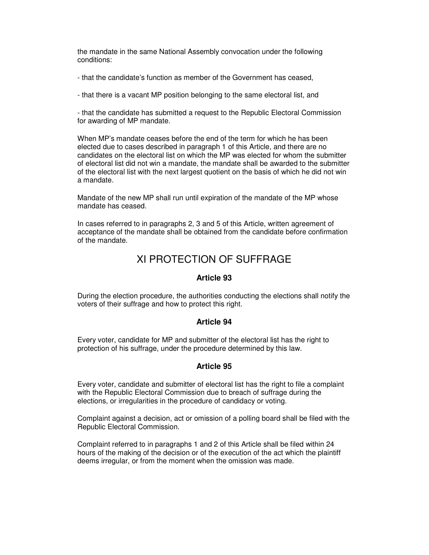the mandate in the same National Assembly convocation under the following conditions:

- that the candidate's function as member of the Government has ceased,

- that there is a vacant MP position belonging to the same electoral list, and

- that the candidate has submitted a request to the Republic Electoral Commission for awarding of MP mandate.

When MP's mandate ceases before the end of the term for which he has been elected due to cases described in paragraph 1 of this Article, and there are no candidates on the electoral list on which the MP was elected for whom the submitter of electoral list did not win a mandate, the mandate shall be awarded to the submitter of the electoral list with the next largest quotient on the basis of which he did not win a mandate.

Mandate of the new MP shall run until expiration of the mandate of the MP whose mandate has ceased.

In cases referred to in paragraphs 2, 3 and 5 of this Article, written agreement of acceptance of the mandate shall be obtained from the candidate before confirmation of the mandate.

# XI PROTECTION OF SUFFRAGE

## **Article 93**

During the election procedure, the authorities conducting the elections shall notify the voters of their suffrage and how to protect this right.

## **Article 94**

Every voter, candidate for MP and submitter of the electoral list has the right to protection of his suffrage, under the procedure determined by this law.

## **Article 95**

Every voter, candidate and submitter of electoral list has the right to file a complaint with the Republic Electoral Commission due to breach of suffrage during the elections, or irregularities in the procedure of candidacy or voting.

Complaint against a decision, act or omission of a polling board shall be filed with the Republic Electoral Commission.

Complaint referred to in paragraphs 1 and 2 of this Article shall be filed within 24 hours of the making of the decision or of the execution of the act which the plaintiff deems irregular, or from the moment when the omission was made.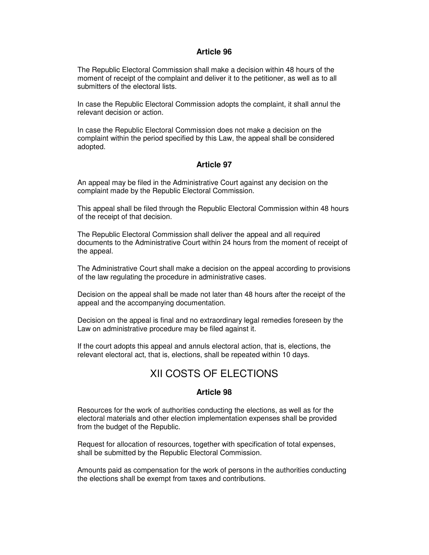The Republic Electoral Commission shall make a decision within 48 hours of the moment of receipt of the complaint and deliver it to the petitioner, as well as to all submitters of the electoral lists.

In case the Republic Electoral Commission adopts the complaint, it shall annul the relevant decision or action.

In case the Republic Electoral Commission does not make a decision on the complaint within the period specified by this Law, the appeal shall be considered adopted.

## **Article 97**

An appeal may be filed in the Administrative Court against any decision on the complaint made by the Republic Electoral Commission.

This appeal shall be filed through the Republic Electoral Commission within 48 hours of the receipt of that decision.

The Republic Electoral Commission shall deliver the appeal and all required documents to the Administrative Court within 24 hours from the moment of receipt of the appeal.

The Administrative Court shall make a decision on the appeal according to provisions of the law regulating the procedure in administrative cases.

Decision on the appeal shall be made not later than 48 hours after the receipt of the appeal and the accompanying documentation.

Decision on the appeal is final and no extraordinary legal remedies foreseen by the Law on administrative procedure may be filed against it.

If the court adopts this appeal and annuls electoral action, that is, elections, the relevant electoral act, that is, elections, shall be repeated within 10 days.

# XII COSTS OF ELECTIONS

## **Article 98**

Resources for the work of authorities conducting the elections, as well as for the electoral materials and other election implementation expenses shall be provided from the budget of the Republic.

Request for allocation of resources, together with specification of total expenses, shall be submitted by the Republic Electoral Commission.

Amounts paid as compensation for the work of persons in the authorities conducting the elections shall be exempt from taxes and contributions.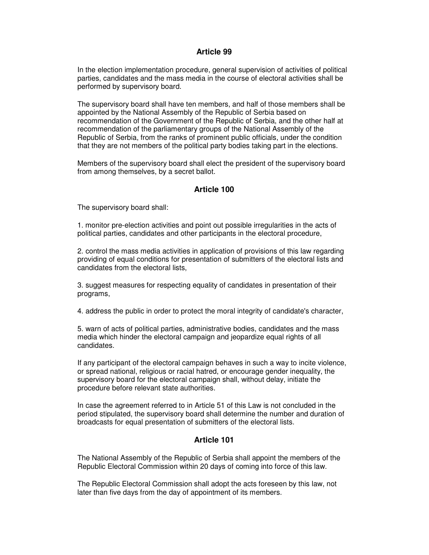In the election implementation procedure, general supervision of activities of political parties, candidates and the mass media in the course of electoral activities shall be performed by supervisory board.

The supervisory board shall have ten members, and half of those members shall be appointed by the National Assembly of the Republic of Serbia based on recommendation of the Government of the Republic of Serbia, and the other half at recommendation of the parliamentary groups of the National Assembly of the Republic of Serbia, from the ranks of prominent public officials, under the condition that they are not members of the political party bodies taking part in the elections.

Members of the supervisory board shall elect the president of the supervisory board from among themselves, by a secret ballot.

## **Article 100**

The supervisory board shall:

1. monitor pre-election activities and point out possible irregularities in the acts of political parties, candidates and other participants in the electoral procedure,

2. control the mass media activities in application of provisions of this law regarding providing of equal conditions for presentation of submitters of the electoral lists and candidates from the electoral lists,

3. suggest measures for respecting equality of candidates in presentation of their programs,

4. address the public in order to protect the moral integrity of candidate's character,

5. warn of acts of political parties, administrative bodies, candidates and the mass media which hinder the electoral campaign and jeopardize equal rights of all candidates.

If any participant of the electoral campaign behaves in such a way to incite violence, or spread national, religious or racial hatred, or encourage gender inequality, the supervisory board for the electoral campaign shall, without delay, initiate the procedure before relevant state authorities.

In case the agreement referred to in Article 51 of this Law is not concluded in the period stipulated, the supervisory board shall determine the number and duration of broadcasts for equal presentation of submitters of the electoral lists.

## **Article 101**

The National Assembly of the Republic of Serbia shall appoint the members of the Republic Electoral Commission within 20 days of coming into force of this law.

The Republic Electoral Commission shall adopt the acts foreseen by this law, not later than five days from the day of appointment of its members.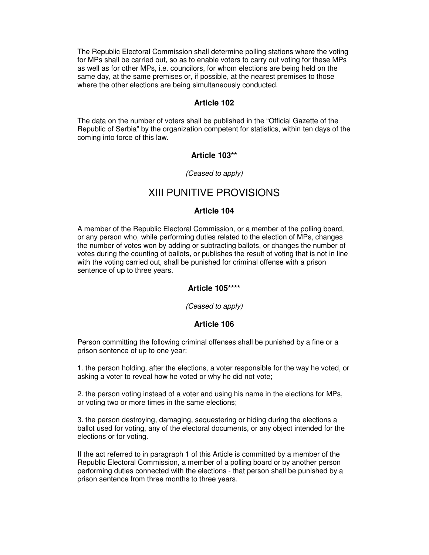The Republic Electoral Commission shall determine polling stations where the voting for MPs shall be carried out, so as to enable voters to carry out voting for these MPs as well as for other MPs, i.e. councilors, for whom elections are being held on the same day, at the same premises or, if possible, at the nearest premises to those where the other elections are being simultaneously conducted.

#### **Article 102**

The data on the number of voters shall be published in the "Official Gazette of the Republic of Serbia" by the organization competent for statistics, within ten days of the coming into force of this law.

#### **Article 103\*\***

#### (Ceased to apply)

## XIII PUNITIVE PROVISIONS

#### **Article 104**

A member of the Republic Electoral Commission, or a member of the polling board, or any person who, while performing duties related to the election of MPs, changes the number of votes won by adding or subtracting ballots, or changes the number of votes during the counting of ballots, or publishes the result of voting that is not in line with the voting carried out, shall be punished for criminal offense with a prison sentence of up to three years.

#### **Article 105\*\*\*\***

(Ceased to apply)

#### **Article 106**

Person committing the following criminal offenses shall be punished by a fine or a prison sentence of up to one year:

1. the person holding, after the elections, a voter responsible for the way he voted, or asking a voter to reveal how he voted or why he did not vote;

2. the person voting instead of a voter and using his name in the elections for MPs, or voting two or more times in the same elections;

3. the person destroying, damaging, sequestering or hiding during the elections a ballot used for voting, any of the electoral documents, or any object intended for the elections or for voting.

If the act referred to in paragraph 1 of this Article is committed by a member of the Republic Electoral Commission, a member of a polling board or by another person performing duties connected with the elections - that person shall be punished by a prison sentence from three months to three years.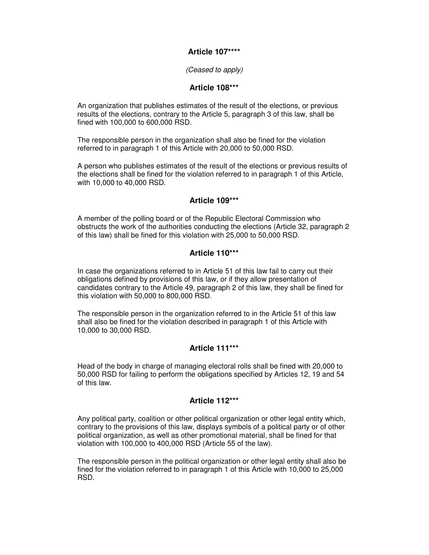## **Article 107\*\*\*\***

#### (Ceased to apply)

## **Article 108\*\*\***

An organization that publishes estimates of the result of the elections, or previous results of the elections, contrary to the Article 5, paragraph 3 of this law, shall be fined with 100,000 to 600,000 RSD.

The responsible person in the organization shall also be fined for the violation referred to in paragraph 1 of this Article with 20,000 to 50,000 RSD.

A person who publishes estimates of the result of the elections or previous results of the elections shall be fined for the violation referred to in paragraph 1 of this Article, with 10,000 to 40,000 RSD.

## **Article 109\*\*\***

A member of the polling board or of the Republic Electoral Commission who obstructs the work of the authorities conducting the elections (Article 32, paragraph 2 of this law) shall be fined for this violation with 25,000 to 50,000 RSD.

## **Article 110\*\*\***

In case the organizations referred to in Article 51 of this law fail to carry out their obligations defined by provisions of this law, or if they allow presentation of candidates contrary to the Article 49, paragraph 2 of this law, they shall be fined for this violation with 50,000 to 800,000 RSD.

The responsible person in the organization referred to in the Article 51 of this law shall also be fined for the violation described in paragraph 1 of this Article with 10,000 to 30,000 RSD.

## **Article 111\*\*\***

Head of the body in charge of managing electoral rolls shall be fined with 20,000 to 50,000 RSD for failing to perform the obligations specified by Articles 12, 19 and 54 of this law.

## **Article 112\*\*\***

Any political party, coalition or other political organization or other legal entity which, contrary to the provisions of this law, displays symbols of a political party or of other political organization, as well as other promotional material, shall be fined for that violation with 100,000 to 400,000 RSD (Article 55 of the law).

The responsible person in the political organization or other legal entity shall also be fined for the violation referred to in paragraph 1 of this Article with 10,000 to 25,000 RSD.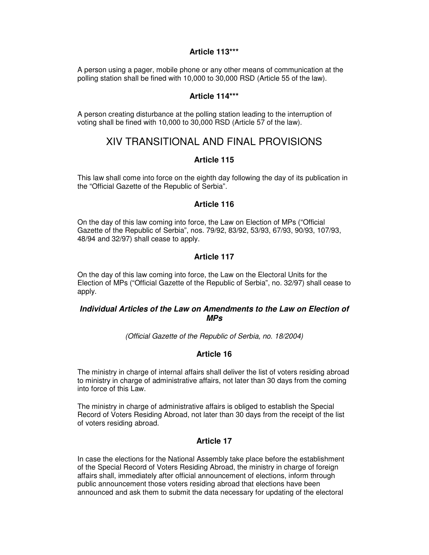## **Article 113\*\*\***

A person using a pager, mobile phone or any other means of communication at the polling station shall be fined with 10,000 to 30,000 RSD (Article 55 of the law).

#### **Article 114\*\*\***

A person creating disturbance at the polling station leading to the interruption of voting shall be fined with 10,000 to 30,000 RSD (Article 57 of the law).

## XIV TRANSITIONAL AND FINAL PROVISIONS

#### **Article 115**

This law shall come into force on the eighth day following the day of its publication in the "Official Gazette of the Republic of Serbia".

## **Article 116**

On the day of this law coming into force, the Law on Election of MPs ("Official Gazette of the Republic of Serbia", nos. 79/92, 83/92, 53/93, 67/93, 90/93, 107/93, 48/94 and 32/97) shall cease to apply.

## **Article 117**

On the day of this law coming into force, the Law on the Electoral Units for the Election of MPs ("Official Gazette of the Republic of Serbia", no. 32/97) shall cease to apply.

## **Individual Articles of the Law on Amendments to the Law on Election of MPs**

(Official Gazette of the Republic of Serbia, no. 18/2004)

## **Article 16**

The ministry in charge of internal affairs shall deliver the list of voters residing abroad to ministry in charge of administrative affairs, not later than 30 days from the coming into force of this Law.

The ministry in charge of administrative affairs is obliged to establish the Special Record of Voters Residing Abroad, not later than 30 days from the receipt of the list of voters residing abroad.

## **Article 17**

In case the elections for the National Assembly take place before the establishment of the Special Record of Voters Residing Abroad, the ministry in charge of foreign affairs shall, immediately after official announcement of elections, inform through public announcement those voters residing abroad that elections have been announced and ask them to submit the data necessary for updating of the electoral